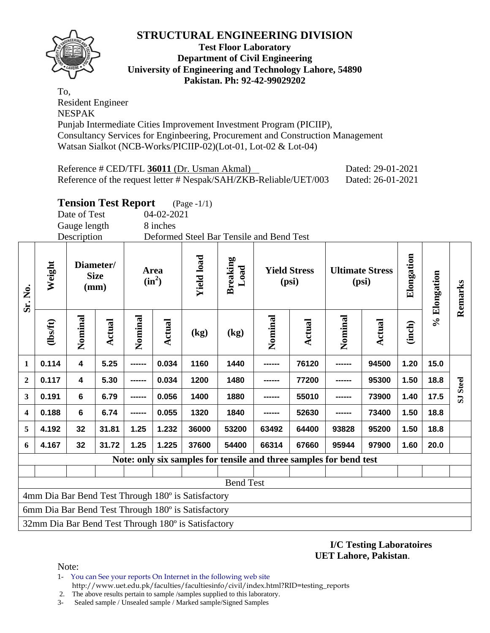

**Test Floor Laboratory Department of Civil Engineering University of Engineering and Technology Lahore, 54890 Pakistan. Ph: 92-42-99029202** 

To, Resident Engineer NESPAK Punjab Intermediate Cities Improvement Investment Program (PICIIP), Consultancy Services for Enginbeering, Procurement and Construction Management Watsan Sialkot (NCB-Works/PICIIP-02)(Lot-01, Lot-02 & Lot-04)

| Reference # CED/TFL 36011 (Dr. Usman Akmal)                       | Dated: 29-01-2021 |
|-------------------------------------------------------------------|-------------------|
| Reference of the request letter # Nespak/SAH/ZKB-Reliable/UET/003 | Dated: 26-01-2021 |

### **Tension Test Report** (Page -1/1)

Date of Test 04-02-2021 Gauge length 8 inches

Description Deformed Steel Bar Tensile and Bend Test

| Sr. No.                                            | Weight                                              | Diameter/<br><b>Area</b><br><b>Size</b><br>$(in^2)$<br>(mm) |        |         | <b>Yield load</b> | <b>Breaking</b><br>Load |       | <b>Yield Stress</b><br>(psi)                                       |        | <b>Ultimate Stress</b><br>(psi) | Elongation | % Elongation | Remarks |                         |
|----------------------------------------------------|-----------------------------------------------------|-------------------------------------------------------------|--------|---------|-------------------|-------------------------|-------|--------------------------------------------------------------------|--------|---------------------------------|------------|--------------|---------|-------------------------|
|                                                    | (lbs/ft)                                            | Nominal                                                     | Actual | Nominal | <b>Actual</b>     | (kg)                    | (kg)  | Nominal                                                            | Actual | Nominal                         | Actual     | (inch)       |         |                         |
| 1                                                  | 0.114                                               | $\overline{\mathbf{4}}$                                     | 5.25   | ------  | 0.034             | 1160                    | 1440  | ------                                                             | 76120  | ------                          | 94500      | 1.20         | 15.0    |                         |
| $\overline{2}$                                     | 0.117                                               | 4                                                           | 5.30   | ------  | 0.034             | 1200                    | 1480  | ------                                                             | 77200  |                                 | 95300      | 1.50         | 18.8    | <b>Steel</b>            |
| 3                                                  | 0.191                                               | $6\phantom{a}$                                              | 6.79   | ------- | 0.056             | 1400                    | 1880  |                                                                    | 55010  |                                 | 73900      | 1.40         | 17.5    | $\overline{\mathbf{S}}$ |
| 4                                                  | 0.188                                               | $6\phantom{a}$                                              | 6.74   | ------  | 0.055             | 1320                    | 1840  |                                                                    | 52630  |                                 | 73400      | 1.50         | 18.8    |                         |
| 5                                                  | 4.192                                               | 32                                                          | 31.81  | 1.25    | 1.232             | 36000                   | 53200 | 63492                                                              | 64400  | 93828                           | 95200      | 1.50         | 18.8    |                         |
| 6                                                  | 4.167                                               | 32                                                          | 31.72  | 1.25    | 1.225             | 37600                   | 54400 | 66314                                                              | 67660  | 95944                           | 97900      | 1.60         | 20.0    |                         |
|                                                    |                                                     |                                                             |        |         |                   |                         |       | Note: only six samples for tensile and three samples for bend test |        |                                 |            |              |         |                         |
|                                                    |                                                     |                                                             |        |         |                   |                         |       |                                                                    |        |                                 |            |              |         |                         |
| <b>Bend Test</b>                                   |                                                     |                                                             |        |         |                   |                         |       |                                                                    |        |                                 |            |              |         |                         |
| 4mm Dia Bar Bend Test Through 180° is Satisfactory |                                                     |                                                             |        |         |                   |                         |       |                                                                    |        |                                 |            |              |         |                         |
|                                                    | 6mm Dia Bar Bend Test Through 180° is Satisfactory  |                                                             |        |         |                   |                         |       |                                                                    |        |                                 |            |              |         |                         |
|                                                    | 32mm Dia Bar Bend Test Through 180° is Satisfactory |                                                             |        |         |                   |                         |       |                                                                    |        |                                 |            |              |         |                         |

**I/C Testing Laboratoires UET Lahore, Pakistan**.

Note:

1- You can See your reports On Internet in the following web site http://www.uet.edu.pk/faculties/facultiesinfo/civil/index.html?RID=testing\_reports

2. The above results pertain to sample /samples supplied to this laboratory.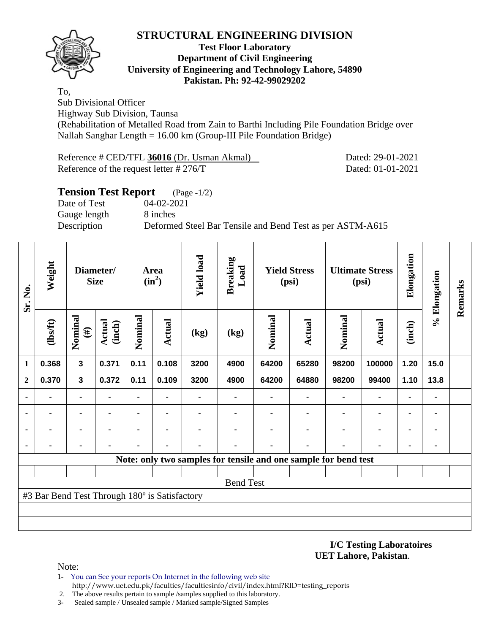

#### **Test Floor Laboratory Department of Civil Engineering University of Engineering and Technology Lahore, 54890 Pakistan. Ph: 92-42-99029202**

To,

Sub Divisional Officer

Highway Sub Division, Taunsa

(Rehabilitation of Metalled Road from Zain to Barthi Including Pile Foundation Bridge over Nallah Sanghar Length = 16.00 km (Group-III Pile Foundation Bridge)

| Reference # CED/TFL 36016 (Dr. Usman Akmal) | Dated: 29-01-2021 |
|---------------------------------------------|-------------------|
| Reference of the request letter $\# 276/T$  | Dated: 01-01-2021 |

#### **Tension Test Report** (Page -1/2)

Date of Test 04-02-2021 Gauge length 8 inches

Description Deformed Steel Bar Tensile and Bend Test as per ASTM-A615

| Sr. No.          | Weight                                        | Diameter/<br><b>Size</b> |                  | <b>Yield load</b><br>Area<br>$(in^2)$ |               | <b>Breaking</b><br>Load | <b>Yield Stress</b><br>(psi)                                    |         |        | <b>Ultimate Stress</b><br>(psi) | Elongation     | % Elongation | Remarks |  |
|------------------|-----------------------------------------------|--------------------------|------------------|---------------------------------------|---------------|-------------------------|-----------------------------------------------------------------|---------|--------|---------------------------------|----------------|--------------|---------|--|
|                  | $\frac{2}{10}$                                | Nominal<br>$(\#)$        | Actual<br>(inch) | Nominal                               | <b>Actual</b> | (kg)                    | (kg)                                                            | Nominal | Actual | Nominal                         | Actual         | (inch)       |         |  |
| $\mathbf{1}$     | 0.368                                         | $\mathbf 3$              | 0.371            | 0.11                                  | 0.108         | 3200                    | 4900                                                            | 64200   | 65280  | 98200                           | 100000         | 1.20         | 15.0    |  |
| $\overline{2}$   | 0.370                                         | $\mathbf{3}$             | 0.372            | 0.11                                  | 0.109         | 3200                    | 4900                                                            | 64200   | 64880  | 98200                           | 99400          | 1.10         | 13.8    |  |
| $\blacksquare$   | ۰                                             | $\blacksquare$           |                  |                                       |               |                         |                                                                 |         |        |                                 |                |              | ٠       |  |
|                  | $\blacksquare$                                | $\blacksquare$           |                  | $\blacksquare$                        |               |                         |                                                                 |         |        |                                 | $\blacksquare$ |              |         |  |
| ٠                |                                               | ۰                        |                  |                                       |               |                         |                                                                 |         |        |                                 |                |              |         |  |
| ٠                |                                               |                          |                  |                                       |               |                         |                                                                 |         |        |                                 |                |              |         |  |
|                  |                                               |                          |                  |                                       |               |                         | Note: only two samples for tensile and one sample for bend test |         |        |                                 |                |              |         |  |
|                  |                                               |                          |                  |                                       |               |                         |                                                                 |         |        |                                 |                |              |         |  |
| <b>Bend Test</b> |                                               |                          |                  |                                       |               |                         |                                                                 |         |        |                                 |                |              |         |  |
|                  | #3 Bar Bend Test Through 180° is Satisfactory |                          |                  |                                       |               |                         |                                                                 |         |        |                                 |                |              |         |  |
|                  |                                               |                          |                  |                                       |               |                         |                                                                 |         |        |                                 |                |              |         |  |
|                  |                                               |                          |                  |                                       |               |                         |                                                                 |         |        |                                 |                |              |         |  |

#### **I/C Testing Laboratoires UET Lahore, Pakistan**.

- 1- You can See your reports On Internet in the following web site http://www.uet.edu.pk/faculties/facultiesinfo/civil/index.html?RID=testing\_reports
- 2. The above results pertain to sample /samples supplied to this laboratory.
- 3- Sealed sample / Unsealed sample / Marked sample/Signed Samples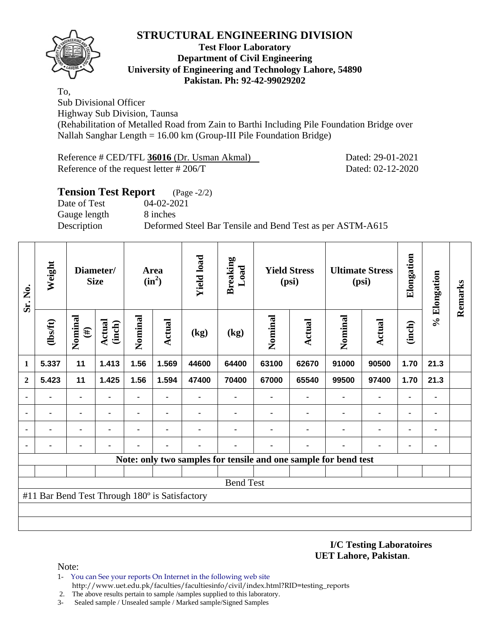

#### **Test Floor Laboratory Department of Civil Engineering University of Engineering and Technology Lahore, 54890 Pakistan. Ph: 92-42-99029202**

To,

Sub Divisional Officer

Highway Sub Division, Taunsa

(Rehabilitation of Metalled Road from Zain to Barthi Including Pile Foundation Bridge over Nallah Sanghar Length = 16.00 km (Group-III Pile Foundation Bridge)

| Reference # CED/TFL 36016 (Dr. Usman Akmal) | Dated: 29-01-2021 |
|---------------------------------------------|-------------------|
| Reference of the request letter $\# 206/T$  | Dated: 02-12-2020 |

#### **Tension Test Report** (Page -2/2)

Date of Test 04-02-2021 Gauge length 8 inches

Description Deformed Steel Bar Tensile and Bend Test as per ASTM-A615

| Sr. No.        | Weight                                         | Diameter/<br><b>Size</b> |                  |                |                |                          | Area<br>$(in^2)$                                                | <b>Yield load</b> | <b>Breaking</b><br>Load |                | <b>Yield Stress</b><br>(psi) |                | <b>Ultimate Stress</b><br>(psi) | Elongation | % Elongation | Remarks |
|----------------|------------------------------------------------|--------------------------|------------------|----------------|----------------|--------------------------|-----------------------------------------------------------------|-------------------|-------------------------|----------------|------------------------------|----------------|---------------------------------|------------|--------------|---------|
|                | (1bsft)                                        | Nominal<br>$(\#)$        | Actual<br>(inch) | Nominal        | Actual         | $\left(\text{kg}\right)$ | (kg)                                                            | Nominal           | <b>Actual</b>           | Nominal        | <b>Actual</b>                | (inch)         |                                 |            |              |         |
| 1              | 5.337                                          | 11                       | 1.413            | 1.56           | 1.569          | 44600                    | 64400                                                           | 63100             | 62670                   | 91000          | 90500                        | 1.70           | 21.3                            |            |              |         |
| $\overline{2}$ | 5.423                                          | 11                       | 1.425            | 1.56           | 1.594          | 47400                    | 70400                                                           | 67000             | 65540                   | 99500          | 97400                        | 1.70           | 21.3                            |            |              |         |
|                |                                                | $\blacksquare$           | $\blacksquare$   |                | $\blacksquare$ |                          |                                                                 | $\blacksquare$    |                         | $\blacksquare$ | $\blacksquare$               | $\blacksquare$ | ۰                               |            |              |         |
|                |                                                | ۰                        |                  | $\blacksquare$ | ۰              |                          |                                                                 |                   |                         |                | $\blacksquare$               | $\blacksquare$ | ۰                               |            |              |         |
|                |                                                | $\blacksquare$           |                  |                |                |                          |                                                                 |                   |                         |                | ٠                            |                | ۰                               |            |              |         |
|                |                                                |                          |                  |                |                |                          |                                                                 |                   |                         |                |                              |                | ۰                               |            |              |         |
|                |                                                |                          |                  |                |                |                          | Note: only two samples for tensile and one sample for bend test |                   |                         |                |                              |                |                                 |            |              |         |
|                |                                                |                          |                  |                |                |                          |                                                                 |                   |                         |                |                              |                |                                 |            |              |         |
|                | <b>Bend Test</b>                               |                          |                  |                |                |                          |                                                                 |                   |                         |                |                              |                |                                 |            |              |         |
|                | #11 Bar Bend Test Through 180° is Satisfactory |                          |                  |                |                |                          |                                                                 |                   |                         |                |                              |                |                                 |            |              |         |
|                |                                                |                          |                  |                |                |                          |                                                                 |                   |                         |                |                              |                |                                 |            |              |         |
|                |                                                |                          |                  |                |                |                          |                                                                 |                   |                         |                |                              |                |                                 |            |              |         |

#### **I/C Testing Laboratoires UET Lahore, Pakistan**.

- 1- You can See your reports On Internet in the following web site http://www.uet.edu.pk/faculties/facultiesinfo/civil/index.html?RID=testing\_reports
- 2. The above results pertain to sample /samples supplied to this laboratory.
- 3- Sealed sample / Unsealed sample / Marked sample/Signed Samples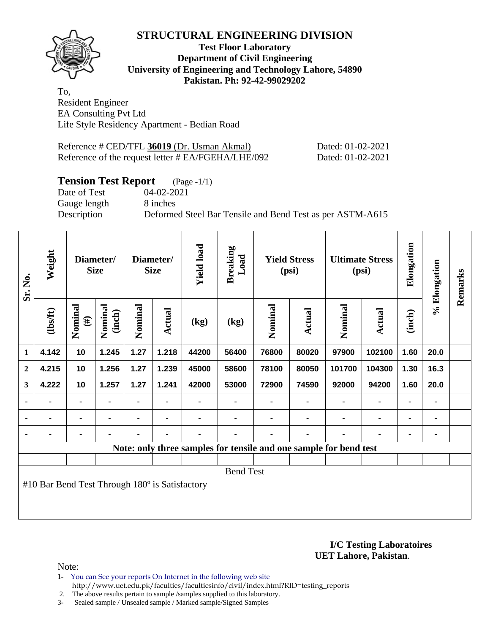

#### **Test Floor Laboratory Department of Civil Engineering University of Engineering and Technology Lahore, 54890 Pakistan. Ph: 92-42-99029202**

To, Resident Engineer EA Consulting Pvt Ltd Life Style Residency Apartment - Bedian Road

| Reference # CED/TFL 36019 (Dr. Usman Akmal)        | Dated: 01-02-2021 |
|----------------------------------------------------|-------------------|
| Reference of the request letter # EA/FGEHA/LHE/092 | Dated: 01-02-2021 |

# **Tension Test Report** (Page -1/1)

Date of Test 04-02-2021 Gauge length 8 inches

Description Deformed Steel Bar Tensile and Bend Test as per ASTM-A615

| Sr. No.          | Weight                                         | Diameter/<br>Diameter/<br><b>Size</b><br><b>Size</b> |                   |         | <b>Yield load</b> | <b>Breaking</b><br>Load | <b>Yield Stress</b><br>(psi)                                      |         | <b>Ultimate Stress</b><br>(psi) |         | Elongation     | % Elongation   | Remarks |  |
|------------------|------------------------------------------------|------------------------------------------------------|-------------------|---------|-------------------|-------------------------|-------------------------------------------------------------------|---------|---------------------------------|---------|----------------|----------------|---------|--|
|                  | (lbs/ft)                                       | Nominal<br>$(\#)$                                    | Nominal<br>(inch) | Nominal | Actual            | (kg)                    | (kg)                                                              | Nominal | <b>Actual</b>                   | Nominal | Actual         | (inch)         |         |  |
| 1                | 4.142                                          | 10                                                   | 1.245             | 1.27    | 1.218             | 44200                   | 56400                                                             | 76800   | 80020                           | 97900   | 102100         | 1.60           | 20.0    |  |
| $\mathbf{2}$     | 4.215                                          | 10                                                   | 1.256             | 1.27    | 1.239             | 45000                   | 58600                                                             | 78100   | 80050                           | 101700  | 104300         | 1.30           | 16.3    |  |
| 3                | 4.222                                          | 10                                                   | 1.257             | 1.27    | 1.241             | 42000                   | 53000                                                             | 72900   | 74590                           | 92000   | 94200          | 1.60           | 20.0    |  |
| $\blacksquare$   | ۰                                              |                                                      | ٠                 | ۰       |                   |                         |                                                                   |         |                                 |         | $\blacksquare$ | $\blacksquare$ | ۰       |  |
|                  | ۰                                              | ۰                                                    | $\blacksquare$    | ۰       |                   |                         |                                                                   |         |                                 |         | $\blacksquare$ | $\blacksquare$ | ٠       |  |
|                  | $\blacksquare$                                 | $\blacksquare$                                       | $\blacksquare$    |         | $\blacksquare$    |                         |                                                                   |         |                                 |         |                | $\blacksquare$ |         |  |
|                  |                                                |                                                      |                   |         |                   |                         | Note: only three samples for tensile and one sample for bend test |         |                                 |         |                |                |         |  |
|                  |                                                |                                                      |                   |         |                   |                         |                                                                   |         |                                 |         |                |                |         |  |
| <b>Bend Test</b> |                                                |                                                      |                   |         |                   |                         |                                                                   |         |                                 |         |                |                |         |  |
|                  | #10 Bar Bend Test Through 180° is Satisfactory |                                                      |                   |         |                   |                         |                                                                   |         |                                 |         |                |                |         |  |
|                  |                                                |                                                      |                   |         |                   |                         |                                                                   |         |                                 |         |                |                |         |  |
|                  |                                                |                                                      |                   |         |                   |                         |                                                                   |         |                                 |         |                |                |         |  |

**I/C Testing Laboratoires UET Lahore, Pakistan**.

Note:

1- You can See your reports On Internet in the following web site http://www.uet.edu.pk/faculties/facultiesinfo/civil/index.html?RID=testing\_reports

2. The above results pertain to sample /samples supplied to this laboratory.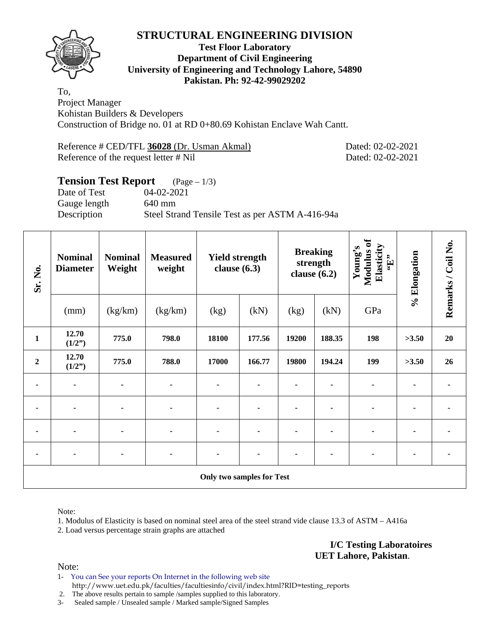

#### **Test Floor Laboratory Department of Civil Engineering University of Engineering and Technology Lahore, 54890 Pakistan. Ph: 92-42-99029202**

To, Project Manager Kohistan Builders & Developers Construction of Bridge no. 01 at RD 0+80.69 Kohistan Enclave Wah Cantt.

Reference # CED/TFL **36028** (Dr. Usman Akmal) Dated: 02-02-2021 Reference of the request letter # Nil Dated: 02-02-2021

#### **Tension Test Report** (Page – 1/3) Date of Test 04-02-2021

Gauge length 640 mm

Description Steel Strand Tensile Test as per ASTM A-416-94a

| Sr. No.          | <b>Nominal</b><br><b>Nominal</b><br><b>Measured</b><br><b>Yield strength</b><br>Weight<br>clause $(6.3)$<br><b>Diameter</b><br>weight |         | clause $(6.2)$ | <b>Breaking</b><br>strength | Modulus of<br>Elasticity<br>Young's<br>$\mathbf{f}$ . | % Elongation | Remarks / Coil No. |     |       |    |
|------------------|---------------------------------------------------------------------------------------------------------------------------------------|---------|----------------|-----------------------------|-------------------------------------------------------|--------------|--------------------|-----|-------|----|
|                  | (mm)                                                                                                                                  | (kg/km) | (kg/km)        | (kg)                        | (kN)                                                  | (kg)         | (kN)               | GPa |       |    |
| $\mathbf{1}$     | 12.70<br>(1/2")                                                                                                                       | 775.0   | 798.0          | 18100                       | 177.56                                                | 19200        | 188.35             | 198 | >3.50 | 20 |
| $\boldsymbol{2}$ | 12.70<br>(1/2")                                                                                                                       | 775.0   | 788.0          | 17000                       | 166.77                                                | 19800        | 194.24             | 199 | >3.50 | 26 |
| ۰                | $\blacksquare$                                                                                                                        | ۰       | ٠              | ٠                           |                                                       |              |                    | ۰   |       |    |
| ٠                | $\blacksquare$                                                                                                                        |         |                | $\blacksquare$              |                                                       |              |                    | ۰   |       |    |
|                  |                                                                                                                                       |         |                |                             |                                                       |              |                    |     |       |    |
| ۰                |                                                                                                                                       |         | ۰              | ۰                           |                                                       |              |                    |     |       |    |
|                  | <b>Only two samples for Test</b>                                                                                                      |         |                |                             |                                                       |              |                    |     |       |    |

Note:

1. Modulus of Elasticity is based on nominal steel area of the steel strand vide clause 13.3 of ASTM – A416a

2. Load versus percentage strain graphs are attached

**I/C Testing Laboratoires UET Lahore, Pakistan**.

Note:

1- You can See your reports On Internet in the following web site http://www.uet.edu.pk/faculties/facultiesinfo/civil/index.html?RID=testing\_reports

2. The above results pertain to sample /samples supplied to this laboratory.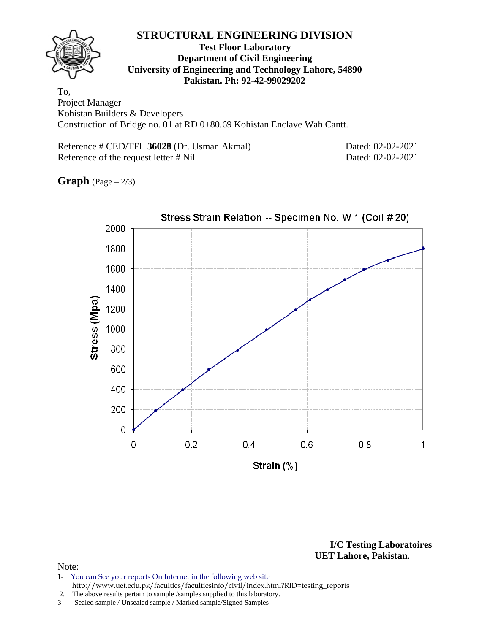

#### **Test Floor Laboratory Department of Civil Engineering University of Engineering and Technology Lahore, 54890 Pakistan. Ph: 92-42-99029202**

To, Project Manager Kohistan Builders & Developers Construction of Bridge no. 01 at RD 0+80.69 Kohistan Enclave Wah Cantt.

Reference # CED/TFL **36028** (Dr. Usman Akmal) Dated: 02-02-2021 Reference of the request letter # Nil Dated: 02-02-2021

**Graph**  $(Page - 2/3)$ 



**I/C Testing Laboratoires UET Lahore, Pakistan**.

- 1- You can See your reports On Internet in the following web site http://www.uet.edu.pk/faculties/facultiesinfo/civil/index.html?RID=testing\_reports
- 2. The above results pertain to sample /samples supplied to this laboratory.
- 3- Sealed sample / Unsealed sample / Marked sample/Signed Samples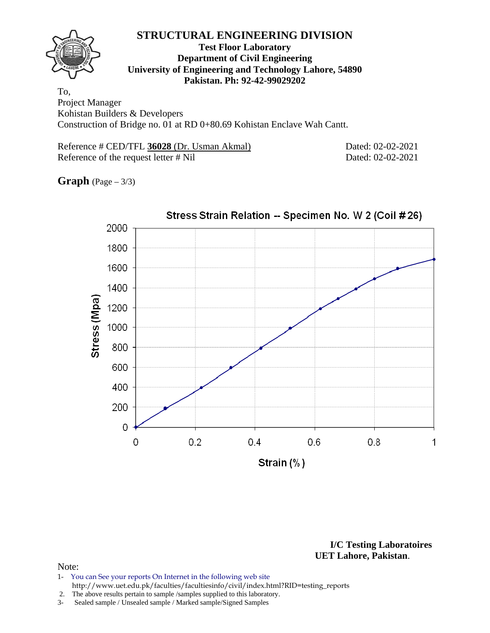#### **Test Floor Laboratory Department of Civil Engineering University of Engineering and Technology Lahore, 54890 Pakistan. Ph: 92-42-99029202**

To, Project Manager Kohistan Builders & Developers Construction of Bridge no. 01 at RD 0+80.69 Kohistan Enclave Wah Cantt.

Reference # CED/TFL **36028** (Dr. Usman Akmal) Dated: 02-02-2021 Reference of the request letter # Nil Dated: 02-02-2021

**Graph**  $(Page - 3/3)$ 



**I/C Testing Laboratoires UET Lahore, Pakistan**.

- 1- You can See your reports On Internet in the following web site http://www.uet.edu.pk/faculties/facultiesinfo/civil/index.html?RID=testing\_reports
- 2. The above results pertain to sample /samples supplied to this laboratory.
- 3- Sealed sample / Unsealed sample / Marked sample/Signed Samples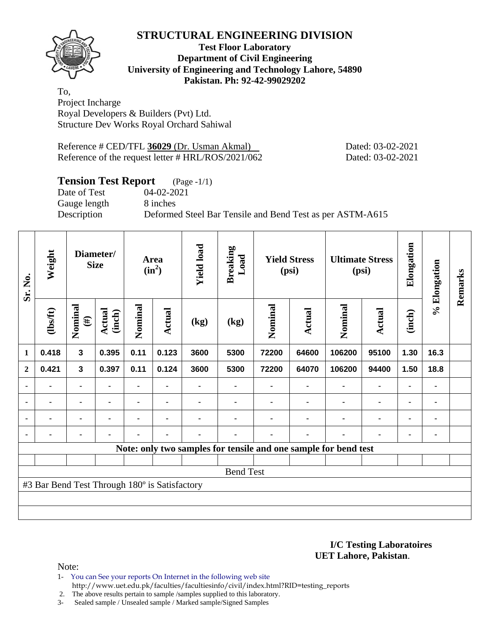

#### **Test Floor Laboratory Department of Civil Engineering University of Engineering and Technology Lahore, 54890 Pakistan. Ph: 92-42-99029202**

To, Project Incharge Royal Developers & Builders (Pvt) Ltd. Structure Dev Works Royal Orchard Sahiwal

Reference # CED/TFL 36029 (Dr. Usman Akmal) Dated: 03-02-2021 Reference of the request letter # HRL/ROS/2021/062 Dated: 03-02-2021

# **Tension Test Report** (Page -1/1)

Date of Test 04-02-2021 Gauge length 8 inches

Description Deformed Steel Bar Tensile and Bend Test as per ASTM-A615

| Sr. No.        | Weight                                        | Diameter/<br><b>Size</b> |                  | Area<br>$(in^2)$ |                | <b>Yield load</b> | <b>Breaking</b><br>Load | <b>Yield Stress</b><br>(psi) |                | <b>Ultimate Stress</b><br>(psi)                                 |                | Elongation | % Elongation   | Remarks |
|----------------|-----------------------------------------------|--------------------------|------------------|------------------|----------------|-------------------|-------------------------|------------------------------|----------------|-----------------------------------------------------------------|----------------|------------|----------------|---------|
|                | (1bsft)                                       | Nominal<br>$(\#)$        | Actual<br>(inch) | Nominal          | Actual         | (kg)              | (kg)                    | Nominal                      | Actual         | Nominal                                                         | <b>Actual</b>  | (inch)     |                |         |
| $\mathbf 1$    | 0.418                                         | $\mathbf{3}$             | 0.395            | 0.11             | 0.123          | 3600              | 5300                    | 72200                        | 64600          | 106200                                                          | 95100          | 1.30       | 16.3           |         |
| $\overline{2}$ | 0.421                                         | $\mathbf{3}$             | 0.397            | 0.11             | 0.124          | 3600              | 5300                    | 72200                        | 64070          | 106200                                                          | 94400          | 1.50       | 18.8           |         |
|                |                                               | ۰                        |                  | ۰                |                |                   |                         |                              |                | $\blacksquare$                                                  | $\blacksquare$ |            | ۰              |         |
|                | $\blacksquare$                                | -                        |                  | $\blacksquare$   | $\blacksquare$ |                   |                         |                              |                | $\blacksquare$                                                  | $\blacksquare$ |            | ۰              |         |
|                | $\blacksquare$                                | ۰                        | $\blacksquare$   | $\blacksquare$   | $\blacksquare$ |                   |                         |                              | $\blacksquare$ | $\blacksquare$                                                  | $\blacksquare$ |            | ۰              |         |
|                | $\blacksquare$                                | ۰                        |                  | -                | $\blacksquare$ |                   |                         |                              | ٠              | $\blacksquare$                                                  | $\blacksquare$ |            | $\blacksquare$ |         |
|                |                                               |                          |                  |                  |                |                   |                         |                              |                | Note: only two samples for tensile and one sample for bend test |                |            |                |         |
|                |                                               |                          |                  |                  |                |                   |                         |                              |                |                                                                 |                |            |                |         |
|                | <b>Bend Test</b>                              |                          |                  |                  |                |                   |                         |                              |                |                                                                 |                |            |                |         |
|                | #3 Bar Bend Test Through 180° is Satisfactory |                          |                  |                  |                |                   |                         |                              |                |                                                                 |                |            |                |         |
|                |                                               |                          |                  |                  |                |                   |                         |                              |                |                                                                 |                |            |                |         |
|                |                                               |                          |                  |                  |                |                   |                         |                              |                |                                                                 |                |            |                |         |

**I/C Testing Laboratoires UET Lahore, Pakistan**.

Note:

1- You can See your reports On Internet in the following web site http://www.uet.edu.pk/faculties/facultiesinfo/civil/index.html?RID=testing\_reports

2. The above results pertain to sample /samples supplied to this laboratory.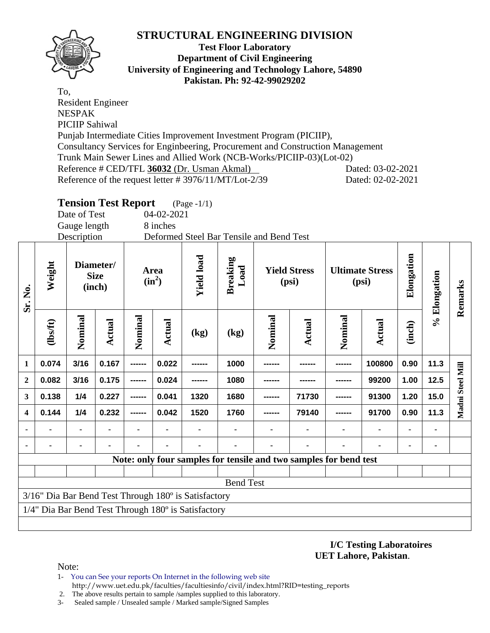

#### **Test Floor Laboratory Department of Civil Engineering University of Engineering and Technology Lahore, 54890 Pakistan. Ph: 92-42-99029202**

To, Resident Engineer NESPAK PICIIP Sahiwal Punjab Intermediate Cities Improvement Investment Program (PICIIP), Consultancy Services for Enginbeering, Procurement and Construction Management Trunk Main Sewer Lines and Allied Work (NCB-Works/PICIIP-03)(Lot-02) Reference # CED/TFL **36032** (Dr. Usman Akmal) Dated: 03-02-2021 Reference of the request letter # 3976/11/MT/Lot-2/39 Dated: 02-02-2021

# **Tension Test Report** (Page -1/1)

Date of Test 04-02-2021 Gauge length 8 inches

|                         |                                                      | Description    |                                    |         |                                         |        |                   | Deformed Steel Bar Tensile and Bend Test                          |                              |                |                                 |                |            |                  |         |
|-------------------------|------------------------------------------------------|----------------|------------------------------------|---------|-----------------------------------------|--------|-------------------|-------------------------------------------------------------------|------------------------------|----------------|---------------------------------|----------------|------------|------------------|---------|
| Sr. No.                 | Weight                                               |                | Diameter/<br><b>Size</b><br>(inch) |         | <b>Area</b><br>$(in^2)$                 |        | <b>Yield load</b> | <b>Breaking</b><br>Load                                           | <b>Yield Stress</b><br>(psi) |                | <b>Ultimate Stress</b><br>(psi) |                | Elongation | % Elongation     | Remarks |
|                         | (1bsft)                                              | Nominal        | Actual                             | Nominal | Actual                                  | (kg)   | (kg)              | Nominal                                                           | Actual                       | Nominal        | <b>Actual</b>                   | (inch)         |            |                  |         |
| $\mathbf{1}$            | 0.074                                                | 3/16           | 0.167                              | ------  | 0.022                                   |        | 1000              |                                                                   |                              |                | 100800                          | 0.90           | 11.3       |                  |         |
| $\boldsymbol{2}$        | 0.082                                                | 3/16           | 0.175                              | ------  | 0.024                                   | ------ | 1080              | -------                                                           |                              |                | 99200                           | 1.00           | 12.5       | Madni Steel Mill |         |
| 3                       | 0.138                                                | 1/4            | 0.227                              | ------  | 0.041<br>1680<br>91300<br>1320<br>71730 |        |                   |                                                                   |                              |                |                                 | 1.20           | 15.0       |                  |         |
| $\overline{\mathbf{4}}$ | 0.144                                                | 1/4            | 0.232                              | ------  | 0.042                                   | 1520   | 1760              |                                                                   | 79140                        |                | 91700                           | 0.90           | 11.3       |                  |         |
|                         |                                                      | $\blacksquare$ |                                    |         |                                         |        |                   |                                                                   |                              | $\blacksquare$ | $\qquad \qquad \blacksquare$    | $\blacksquare$ | ٠          |                  |         |
|                         |                                                      | ۰              | ۰                                  |         |                                         |        |                   |                                                                   |                              |                |                                 | ۰              | ٠          |                  |         |
|                         |                                                      |                |                                    |         |                                         |        |                   | Note: only four samples for tensile and two samples for bend test |                              |                |                                 |                |            |                  |         |
|                         |                                                      |                |                                    |         |                                         |        |                   |                                                                   |                              |                |                                 |                |            |                  |         |
|                         | <b>Bend Test</b>                                     |                |                                    |         |                                         |        |                   |                                                                   |                              |                |                                 |                |            |                  |         |
|                         | 3/16" Dia Bar Bend Test Through 180° is Satisfactory |                |                                    |         |                                         |        |                   |                                                                   |                              |                |                                 |                |            |                  |         |
|                         | 1/4" Dia Bar Bend Test Through 180° is Satisfactory  |                |                                    |         |                                         |        |                   |                                                                   |                              |                |                                 |                |            |                  |         |
|                         |                                                      |                |                                    |         |                                         |        |                   |                                                                   |                              |                |                                 |                |            |                  |         |

**I/C Testing Laboratoires UET Lahore, Pakistan**.

- 1- You can See your reports On Internet in the following web site http://www.uet.edu.pk/faculties/facultiesinfo/civil/index.html?RID=testing\_reports
- 2. The above results pertain to sample /samples supplied to this laboratory.
- 3- Sealed sample / Unsealed sample / Marked sample/Signed Samples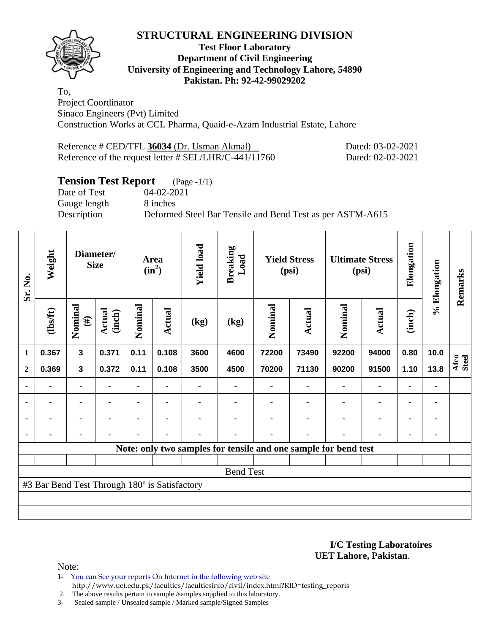

#### **Test Floor Laboratory Department of Civil Engineering University of Engineering and Technology Lahore, 54890 Pakistan. Ph: 92-42-99029202**

To, Project Coordinator Sinaco Engineers (Pvt) Limited Construction Works at CCL Pharma, Quaid-e-Azam Industrial Estate, Lahore

| Reference # CED/TFL 36034 (Dr. Usman Akmal)              | Dated |
|----------------------------------------------------------|-------|
| Reference of the request letter $\#$ SEL/LHR/C-441/11760 | Dated |

Perence **3** - 03 - 02 - 2021  $R: 02-02-2021$ 

# **Tension Test Report** (Page -1/1)<br>Date of Test (04-02-2021)

Gauge length 8 inches

04-02-2021 Description Deformed Steel Bar Tensile and Bend Test as per ASTM-A615

| Sr. No.        | Weight                                        | Diameter/<br><b>Size</b> |                  |                | <b>Yield load</b><br>Area<br>$(in^2)$ |                | <b>Breaking</b><br>Load | <b>Yield Stress</b><br>(psi) |                                                                 | <b>Ultimate Stress</b><br>(psi) |                | Elongation     | % Elongation   | Remarks       |
|----------------|-----------------------------------------------|--------------------------|------------------|----------------|---------------------------------------|----------------|-------------------------|------------------------------|-----------------------------------------------------------------|---------------------------------|----------------|----------------|----------------|---------------|
|                | (1bsft)                                       | Nominal<br>$(\#)$        | Actual<br>(inch) | Nominal        | Actual                                | (kg)           | (kg)                    | Nominal                      | Actual                                                          | Nominal                         | Actual         | (inch)         |                |               |
| $\mathbf{1}$   | 0.367                                         | $\mathbf{3}$             | 0.371            | 0.11           | 0.108                                 | 3600           | 4600                    | 72200                        | 73490                                                           | 92200                           | 94000          | 0.80           | 10.0           |               |
| $\overline{2}$ | 0.369                                         | $\mathbf 3$              | 0.372            | 0.11           | 0.108                                 | 3500           | 4500                    | 70200                        | 71130                                                           | 90200                           | 91500          | 1.10           | 13.8           | Afco<br>Steel |
|                |                                               | ۰                        |                  |                |                                       |                |                         |                              |                                                                 |                                 | $\blacksquare$ | ۰              |                |               |
|                | ۰                                             | $\blacksquare$           | $\blacksquare$   | ۰              | $\blacksquare$                        |                |                         |                              | ۰                                                               | $\blacksquare$                  | $\blacksquare$ | $\blacksquare$ | $\blacksquare$ |               |
|                | $\blacksquare$                                | ۰                        |                  | $\blacksquare$ | $\blacksquare$                        |                |                         |                              | $\blacksquare$                                                  |                                 | $\blacksquare$ | $\blacksquare$ |                |               |
|                | $\blacksquare$                                | ۰                        |                  | $\blacksquare$ | $\blacksquare$                        | $\blacksquare$ |                         |                              | ۰                                                               |                                 | $\blacksquare$ | ۰              | ٠              |               |
|                |                                               |                          |                  |                |                                       |                |                         |                              | Note: only two samples for tensile and one sample for bend test |                                 |                |                |                |               |
|                |                                               |                          |                  |                |                                       |                |                         |                              |                                                                 |                                 |                |                |                |               |
|                |                                               |                          |                  |                |                                       |                | <b>Bend Test</b>        |                              |                                                                 |                                 |                |                |                |               |
|                | #3 Bar Bend Test Through 180° is Satisfactory |                          |                  |                |                                       |                |                         |                              |                                                                 |                                 |                |                |                |               |
|                |                                               |                          |                  |                |                                       |                |                         |                              |                                                                 |                                 |                |                |                |               |
|                |                                               |                          |                  |                |                                       |                |                         |                              |                                                                 |                                 |                |                |                |               |

**I/C Testing Laboratoires UET Lahore, Pakistan**.

Note:

- 1- You can See your reports On Internet in the following web site http://www.uet.edu.pk/faculties/facultiesinfo/civil/index.html?RID=testing\_reports
- 2. The above results pertain to sample /samples supplied to this laboratory.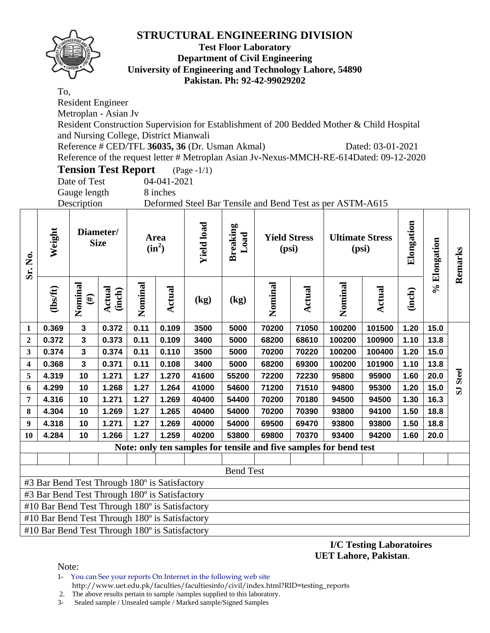

#### **Test Floor Laboratory Department of Civil Engineering University of Engineering and Technology Lahore, 54890 Pakistan. Ph: 92-42-99029202**

To,

Resident Engineer

Metroplan - Asian Jv

Resident Construction Supervision for Establishment of 200 Bedded Mother & Child Hospital and Nursing College, District Mianwali

Reference # CED/TFL **36035, 36** (Dr. Usman Akmal) Dated: 03-01-2021

Reference of the request letter # Metroplan Asian Jv-Nexus-MMCH-RE-614Dated: 09-12-2020

**Tension Test Report** (Page -1/1)

Date of Test 04-041-2021 Gauge length 8 inches

Description Deformed Steel Bar Tensile and Bend Test as per ASTM-A615

| Sr. No.                 | Weight                                         | Diameter/<br><b>Size</b> |                  | Area<br>$(in^2)$ |               | <b>Yield load</b> | <b>Breaking</b><br>Load<br><b>Yield Stress</b><br>(psi) |         | <b>Ultimate Stress</b><br>(psi) |                                                                   | Elongation    |        | % Elongation | Remarks                 |
|-------------------------|------------------------------------------------|--------------------------|------------------|------------------|---------------|-------------------|---------------------------------------------------------|---------|---------------------------------|-------------------------------------------------------------------|---------------|--------|--------------|-------------------------|
|                         | $\frac{2}{10}$                                 | Nominal<br>$(\#)$        | Actual<br>(inch) | Nominal          | <b>Actual</b> | (kg)              | (kg)                                                    | Nominal | Actual                          | Nominal                                                           | <b>Actual</b> | (inch) |              |                         |
| $\mathbf{1}$            | 0.369                                          | 3                        | 0.372            | 0.11             | 0.109         | 3500              | 5000                                                    | 70200   | 71050                           | 100200                                                            | 101500        | 1.20   | 15.0         |                         |
| $\boldsymbol{2}$        | 0.372                                          | $\mathbf{3}$             | 0.373            | 0.11             | 0.109         | 3400              | 5000                                                    | 68200   | 68610                           | 100200                                                            | 100900        | 1.10   | 13.8         |                         |
| 3                       | 0.374                                          | $\overline{\mathbf{3}}$  | 0.374            | 0.11             | 0.110         | 3500              | 5000                                                    | 70200   | 70220                           | 100200                                                            | 100400        | 1.20   | 15.0         |                         |
| $\overline{\mathbf{4}}$ | 0.368                                          | $\overline{\mathbf{3}}$  | 0.371            | 0.11             | 0.108         | 3400              | 5000                                                    | 68200   | 69300                           | 100200                                                            | 101900        | 1.10   | 13.8         |                         |
| 5                       | 4.319                                          | 10                       | 1.271            | 1.27             | 1.270         | 41600             | 55200                                                   | 72200   | 72230                           | 95800                                                             | 95900         | 1.60   | 20.0         | <b>Steel</b>            |
| 6                       | 4.299                                          | 10                       | 1.268            | 1.27             | 1.264         | 41000             | 54600                                                   | 71200   | 71510                           | 94800                                                             | 95300         | 1.20   | 15.0         | $\overline{\mathbf{s}}$ |
| $\overline{7}$          | 4.316                                          | 10                       | 1.271            | 1.27             | 1.269         | 40400             | 54400                                                   | 70200   | 70180                           | 94500                                                             | 94500         | 1.30   | 16.3         |                         |
| 8                       | 4.304                                          | 10                       | 1.269            | 1.27             | 1.265         | 40400             | 54000                                                   | 70200   | 70390                           | 93800                                                             | 94100         | 1.50   | 18.8         |                         |
| $\boldsymbol{9}$        | 4.318                                          | 10                       | 1.271            | 1.27             | 1.269         | 40000             | 54000                                                   | 69500   | 69470                           | 93800                                                             | 93800         | 1.50   | 18.8         |                         |
| <b>10</b>               | 4.284                                          | 10                       | 1.266            | 1.27             | 1.259         | 40200             | 53800                                                   | 69800   | 70370                           | 93400                                                             | 94200         | 1.60   | 20.0         |                         |
|                         |                                                |                          |                  |                  |               |                   |                                                         |         |                                 | Note: only ten samples for tensile and five samples for bend test |               |        |              |                         |
|                         |                                                |                          |                  |                  |               |                   |                                                         |         |                                 |                                                                   |               |        |              |                         |
|                         |                                                |                          |                  |                  |               |                   | <b>Bend Test</b>                                        |         |                                 |                                                                   |               |        |              |                         |
|                         | #3 Bar Bend Test Through 180° is Satisfactory  |                          |                  |                  |               |                   |                                                         |         |                                 |                                                                   |               |        |              |                         |
|                         | #3 Bar Bend Test Through 180° is Satisfactory  |                          |                  |                  |               |                   |                                                         |         |                                 |                                                                   |               |        |              |                         |
|                         | #10 Bar Bend Test Through 180° is Satisfactory |                          |                  |                  |               |                   |                                                         |         |                                 |                                                                   |               |        |              |                         |
|                         | #10 Bar Bend Test Through 180° is Satisfactory |                          |                  |                  |               |                   |                                                         |         |                                 |                                                                   |               |        |              |                         |

#10 Bar Bend Test Through 180º is Satisfactory

**I/C Testing Laboratoires UET Lahore, Pakistan**.

Note:

1- You can See your reports On Internet in the following web site http://www.uet.edu.pk/faculties/facultiesinfo/civil/index.html?RID=testing\_reports

2. The above results pertain to sample /samples supplied to this laboratory.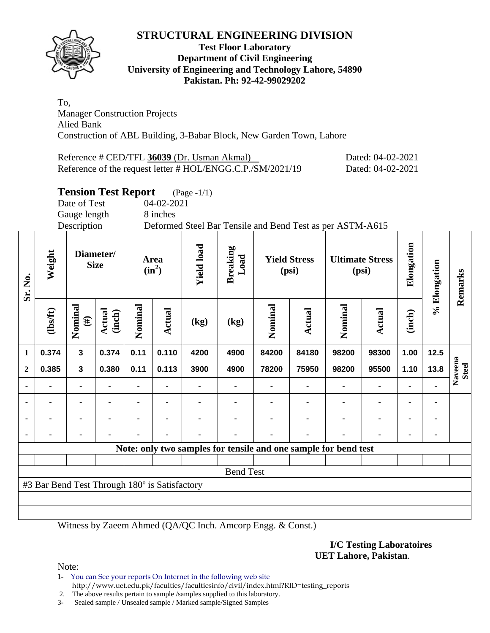

#### **Test Floor Laboratory Department of Civil Engineering University of Engineering and Technology Lahore, 54890 Pakistan. Ph: 92-42-99029202**

To, Manager Construction Projects Alied Bank Construction of ABL Building, 3-Babar Block, New Garden Town, Lahore

| Reference # CED/TFL 36039 (Dr. Usman Akmal)                | Dated: 04-02-2021 |
|------------------------------------------------------------|-------------------|
| Reference of the request letter # HOL/ENGG.C.P./SM/2021/19 | Dated: 04-02-2021 |

# **Tension Test Report** (Page -1/1)

Date of Test 04-02-2021 Gauge length 8 inches

Description Deformed Steel Bar Tensile and Bend Test as per ASTM-A615

| Sr. No.                  | Weight                                        | Diameter/<br><b>Size</b> |                  | Area<br>$(in^2)$ |                | <b>Yield load</b> | <b>Breaking</b><br>Load                                         | <b>Yield Stress</b><br>(psi) |        | <b>Ultimate Stress</b><br>(psi) |                | Elongation     | % Elongation | Remarks                 |
|--------------------------|-----------------------------------------------|--------------------------|------------------|------------------|----------------|-------------------|-----------------------------------------------------------------|------------------------------|--------|---------------------------------|----------------|----------------|--------------|-------------------------|
|                          | (lbs/ft)                                      | Nominal<br>$(\#)$        | Actual<br>(inch) | Nominal          | Actual         | (kg)              | (kg)                                                            | Nominal                      | Actual | Nominal                         | Actual         | (inch)         |              |                         |
| $\mathbf{1}$             | 0.374                                         | $\mathbf{3}$             | 0.374            | 0.11             | 0.110          | 4200              | 4900                                                            | 84200                        | 84180  | 98200                           | 98300          | 1.00           | 12.5         |                         |
| $\overline{2}$           | 0.385                                         | $\overline{\mathbf{3}}$  | 0.380            | 0.11             | 0.113          | 3900              | 4900                                                            | 78200                        | 75950  | 98200                           | 95500          | 1.10           | 13.8         | Naveena<br><b>Steel</b> |
|                          |                                               | ۰                        |                  |                  | $\blacksquare$ |                   |                                                                 |                              |        |                                 | $\blacksquare$ | $\blacksquare$ |              |                         |
| $\overline{\phantom{a}}$ |                                               |                          |                  |                  | ۰              |                   |                                                                 |                              |        |                                 | ۰              | ۰              |              |                         |
| $\blacksquare$           |                                               |                          | $\blacksquare$   |                  | ۰              |                   |                                                                 |                              |        |                                 | ۰              | ۰              | ۰            |                         |
|                          |                                               | ٠                        |                  |                  | $\blacksquare$ |                   |                                                                 |                              | ٠      | ۰                               |                | ۰              | ۰            |                         |
|                          |                                               |                          |                  |                  |                |                   | Note: only two samples for tensile and one sample for bend test |                              |        |                                 |                |                |              |                         |
|                          |                                               |                          |                  |                  |                |                   |                                                                 |                              |        |                                 |                |                |              |                         |
|                          |                                               |                          |                  |                  |                |                   | <b>Bend Test</b>                                                |                              |        |                                 |                |                |              |                         |
|                          | #3 Bar Bend Test Through 180° is Satisfactory |                          |                  |                  |                |                   |                                                                 |                              |        |                                 |                |                |              |                         |
|                          |                                               |                          |                  |                  |                |                   |                                                                 |                              |        |                                 |                |                |              |                         |
|                          |                                               |                          |                  |                  |                |                   |                                                                 |                              |        |                                 |                |                |              |                         |

Witness by Zaeem Ahmed (QA/QC Inch. Amcorp Engg. & Const.)

**I/C Testing Laboratoires UET Lahore, Pakistan**.

Note:

1- You can See your reports On Internet in the following web site http://www.uet.edu.pk/faculties/facultiesinfo/civil/index.html?RID=testing\_reports

2. The above results pertain to sample /samples supplied to this laboratory.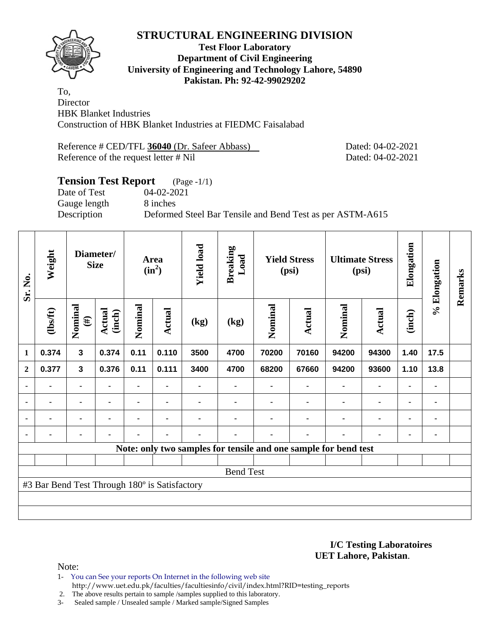

#### **Test Floor Laboratory Department of Civil Engineering University of Engineering and Technology Lahore, 54890 Pakistan. Ph: 92-42-99029202**

To, **Director** HBK Blanket Industries Construction of HBK Blanket Industries at FIEDMC Faisalabad

Reference # CED/TFL 36040 (Dr. Safeer Abbass) Dated: 04-02-2021 Reference of the request letter # Nil Dated: 04-02-2021

# **Tension Test Report** (Page -1/1) Date of Test 04-02-2021 Gauge length 8 inches Description Deformed Steel Bar Tensile and Bend Test as per ASTM-A615

| Sr. No.        | Weight                                        |                         | Diameter/<br><b>Size</b> |         | <b>Yield load</b><br>Area<br>$(in^2)$ |      | <b>Breaking</b><br>Load | <b>Yield Stress</b><br>(psi) |        | <b>Ultimate Stress</b><br>(psi)                                 |               | Elongation     | % Elongation | Remarks |
|----------------|-----------------------------------------------|-------------------------|--------------------------|---------|---------------------------------------|------|-------------------------|------------------------------|--------|-----------------------------------------------------------------|---------------|----------------|--------------|---------|
|                | $\frac{2}{10}$                                | Nominal<br>$(\#)$       | Actual<br>(inch)         | Nominal | Actual                                | (kg) | (kg)                    | Nominal                      | Actual | Nominal                                                         | <b>Actual</b> | (inch)         |              |         |
| $\mathbf{1}$   | 0.374                                         | $\mathbf{3}$            | 0.374                    | 0.11    | 0.110                                 | 3500 | 4700                    | 70200                        | 70160  | 94200                                                           | 94300         | 1.40           | 17.5         |         |
| $\mathbf{2}$   | 0.377                                         | $\overline{\mathbf{3}}$ | 0.376                    | 0.11    | 0.111                                 | 3400 | 4700                    | 68200                        | 67660  | 94200                                                           | 93600         | 1.10           | 13.8         |         |
|                |                                               |                         |                          |         |                                       |      |                         |                              |        |                                                                 | ۰             | ٠              |              |         |
| ٠              |                                               | ۰                       |                          |         |                                       |      |                         |                              |        |                                                                 | ۰             | ۰              |              |         |
| $\blacksquare$ | $\blacksquare$                                | $\blacksquare$          | $\blacksquare$           |         | $\blacksquare$                        |      |                         |                              |        | ٠                                                               | ۰             | $\blacksquare$ |              |         |
|                | -                                             | ۰                       |                          |         | ٠                                     |      |                         |                              | ٠      | ٠                                                               | ۰             | ۰              |              |         |
|                |                                               |                         |                          |         |                                       |      |                         |                              |        | Note: only two samples for tensile and one sample for bend test |               |                |              |         |
|                |                                               |                         |                          |         |                                       |      |                         |                              |        |                                                                 |               |                |              |         |
|                |                                               |                         |                          |         |                                       |      | <b>Bend Test</b>        |                              |        |                                                                 |               |                |              |         |
|                | #3 Bar Bend Test Through 180° is Satisfactory |                         |                          |         |                                       |      |                         |                              |        |                                                                 |               |                |              |         |
|                |                                               |                         |                          |         |                                       |      |                         |                              |        |                                                                 |               |                |              |         |
|                |                                               |                         |                          |         |                                       |      |                         |                              |        |                                                                 |               |                |              |         |

**I/C Testing Laboratoires UET Lahore, Pakistan**.

Note:

- 1- You can See your reports On Internet in the following web site http://www.uet.edu.pk/faculties/facultiesinfo/civil/index.html?RID=testing\_reports
- 2. The above results pertain to sample /samples supplied to this laboratory.